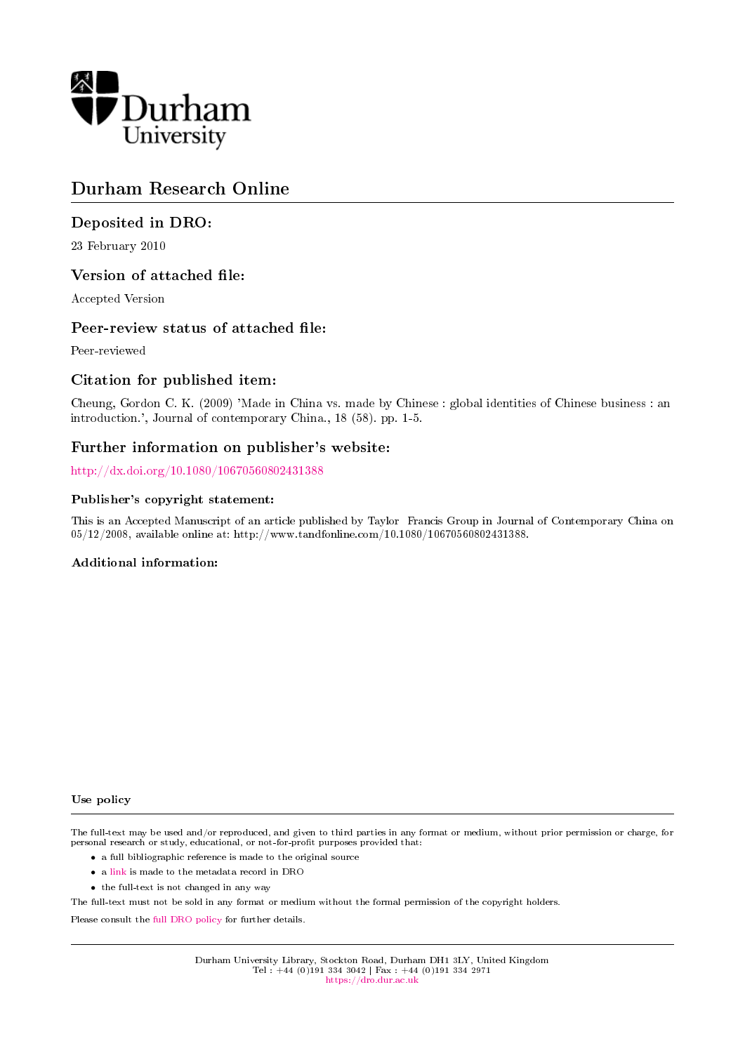

# Durham Research Online

## Deposited in DRO:

23 February 2010

## Version of attached file:

Accepted Version

### Peer-review status of attached file:

Peer-reviewed

## Citation for published item:

Cheung, Gordon C. K. (2009) 'Made in China vs. made by Chinese : global identities of Chinese business : an introduction.', Journal of contemporary China., 18 (58). pp. 1-5.

## Further information on publisher's website:

<http://dx.doi.org/10.1080/10670560802431388>

#### Publisher's copyright statement:

This is an Accepted Manuscript of an article published by Taylor Francis Group in Journal of Contemporary China on 05/12/2008, available online at: http://www.tandfonline.com/10.1080/10670560802431388.

#### Additional information:

Use policy

The full-text may be used and/or reproduced, and given to third parties in any format or medium, without prior permission or charge, for personal research or study, educational, or not-for-profit purposes provided that:

- a full bibliographic reference is made to the original source
- a [link](http://dro.dur.ac.uk/5406/) is made to the metadata record in DRO
- the full-text is not changed in any way

The full-text must not be sold in any format or medium without the formal permission of the copyright holders.

Please consult the [full DRO policy](https://dro.dur.ac.uk/policies/usepolicy.pdf) for further details.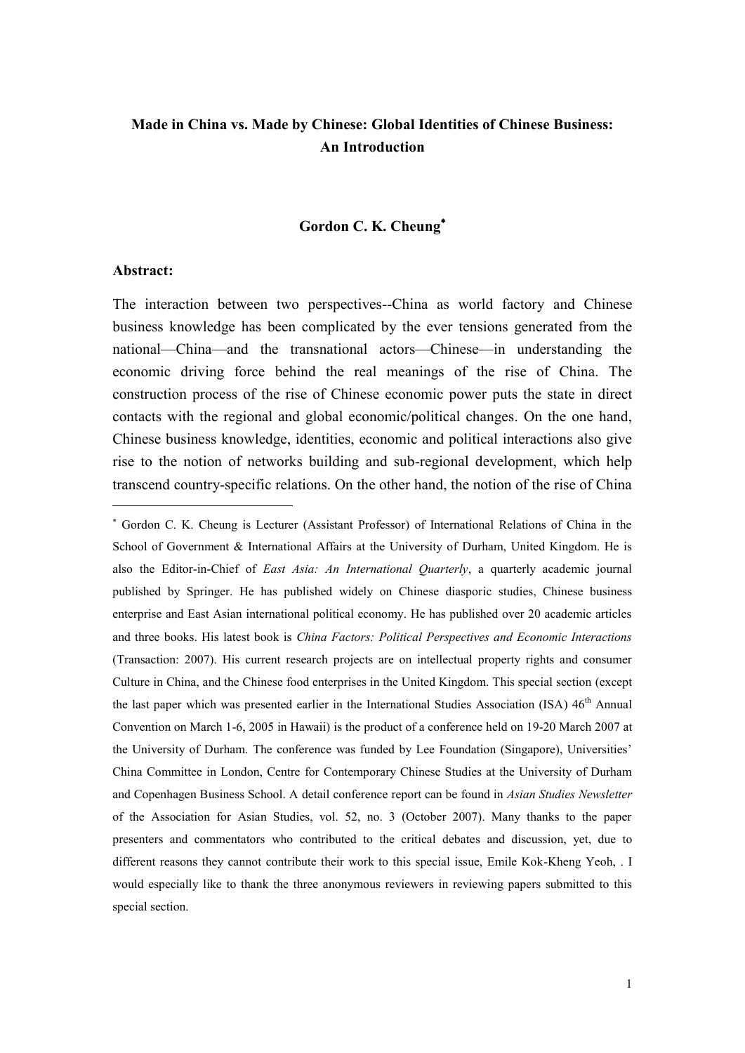## **Made in China vs. Made by Chinese: Global Identities of Chinese Business: An Introduction**

## **Gordon C. K. Cheung**

#### **Abstract:**

<u>.</u>

The interaction between two perspectives--China as world factory and Chinese business knowledge has been complicated by the ever tensions generated from the national—China—and the transnational actors—Chinese—in understanding the economic driving force behind the real meanings of the rise of China. The construction process of the rise of Chinese economic power puts the state in direct contacts with the regional and global economic/political changes. On the one hand, Chinese business knowledge, identities, economic and political interactions also give rise to the notion of networks building and sub-regional development, which help transcend country-specific relations. On the other hand, the notion of the rise of China

Gordon C. K. Cheung is Lecturer (Assistant Professor) of International Relations of China in the School of Government & International Affairs at the University of Durham, United Kingdom. He is also the Editor-in-Chief of *East Asia: An International Quarterly*, a quarterly academic journal published by Springer. He has published widely on Chinese diasporic studies, Chinese business enterprise and East Asian international political economy. He has published over 20 academic articles and three books. His latest book is *China Factors: Political Perspectives and Economic Interactions* (Transaction: 2007). His current research projects are on intellectual property rights and consumer Culture in China, and the Chinese food enterprises in the United Kingdom. This special section (except the last paper which was presented earlier in the International Studies Association (ISA) 46<sup>th</sup> Annual Convention on March 1-6, 2005 in Hawaii) is the product of a conference held on 19-20 March 2007 at the University of Durham. The conference was funded by Lee Foundation (Singapore), Universities" China Committee in London, Centre for Contemporary Chinese Studies at the University of Durham and Copenhagen Business School. A detail conference report can be found in *Asian Studies Newsletter* of the Association for Asian Studies, vol. 52, no. 3 (October 2007). Many thanks to the paper presenters and commentators who contributed to the critical debates and discussion, yet, due to different reasons they cannot contribute their work to this special issue, Emile Kok-Kheng Yeoh, . I would especially like to thank the three anonymous reviewers in reviewing papers submitted to this special section.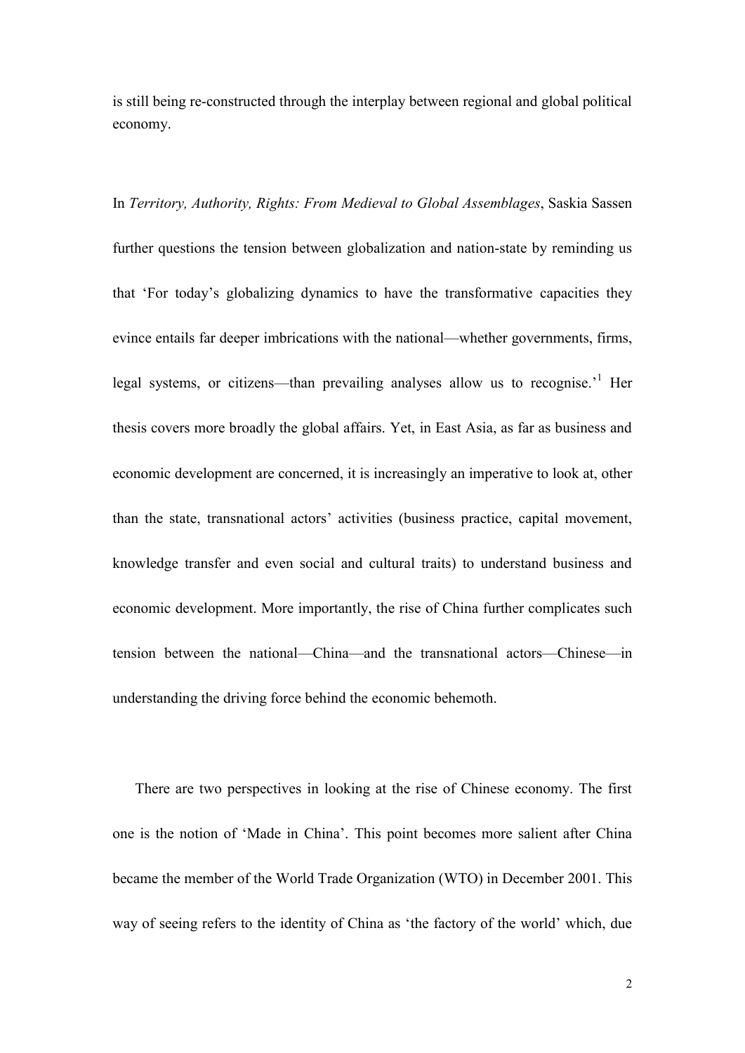is still being re-constructed through the interplay between regional and global political economy.

In *Territory, Authority, Rights: From Medieval to Global Assemblages*, Saskia Sassen further questions the tension between globalization and nation-state by reminding us that "For today"s globalizing dynamics to have the transformative capacities they evince entails far deeper imbrications with the national—whether governments, firms, legal systems, or citizens—than prevailing analyses allow us to recognise.<sup>1</sup> Her thesis covers more broadly the global affairs. Yet, in East Asia, as far as business and economic development are concerned, it is increasingly an imperative to look at, other than the state, transnational actors" activities (business practice, capital movement, knowledge transfer and even social and cultural traits) to understand business and economic development. More importantly, the rise of China further complicates such tension between the national—China—and the transnational actors—Chinese—in understanding the driving force behind the economic behemoth.

 There are two perspectives in looking at the rise of Chinese economy. The first one is the notion of "Made in China". This point becomes more salient after China became the member of the World Trade Organization (WTO) in December 2001. This way of seeing refers to the identity of China as "the factory of the world" which, due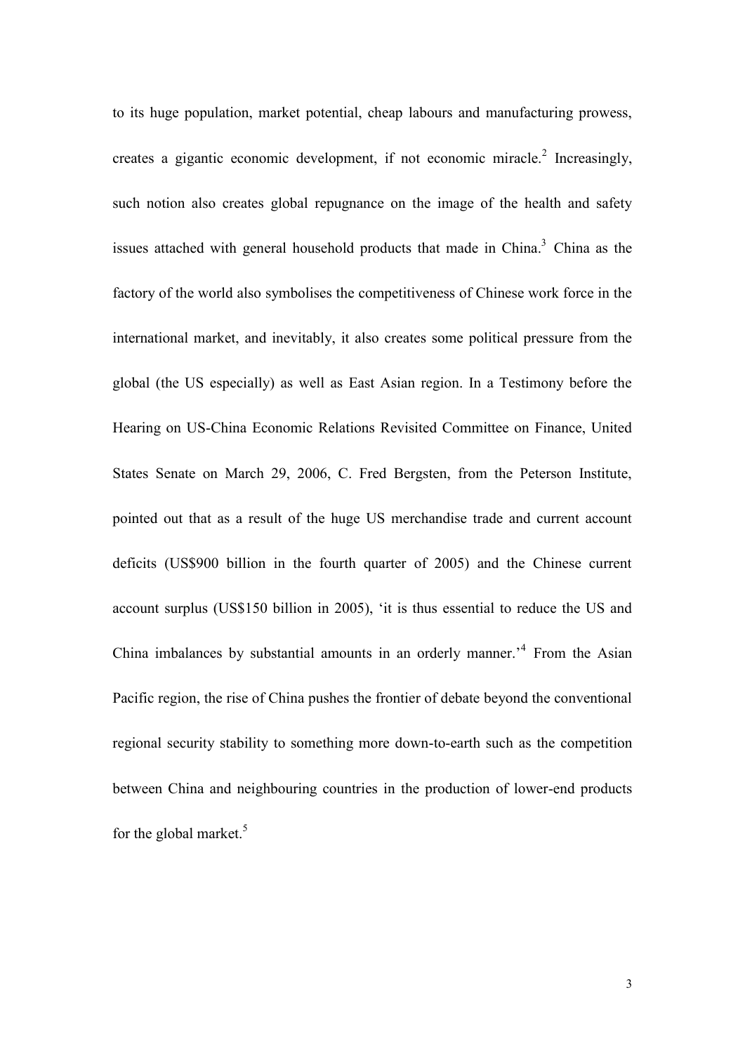to its huge population, market potential, cheap labours and manufacturing prowess, creates a gigantic economic development, if not economic miracle. 2 Increasingly, such notion also creates global repugnance on the image of the health and safety issues attached with general household products that made in China. <sup>3</sup> China as the factory of the world also symbolises the competitiveness of Chinese work force in the international market, and inevitably, it also creates some political pressure from the global (the US especially) as well as East Asian region. In a Testimony before the Hearing on US-China Economic Relations Revisited Committee on Finance, United States Senate on March 29, 2006, C. Fred Bergsten, from the Peterson Institute, pointed out that as a result of the huge US merchandise trade and current account deficits (US\$900 billion in the fourth quarter of 2005) and the Chinese current account surplus (US\$150 billion in 2005), "it is thus essential to reduce the US and China imbalances by substantial amounts in an orderly manner.<sup>4</sup> From the Asian Pacific region, the rise of China pushes the frontier of debate beyond the conventional regional security stability to something more down-to-earth such as the competition between China and neighbouring countries in the production of lower-end products for the global market.<sup>5</sup>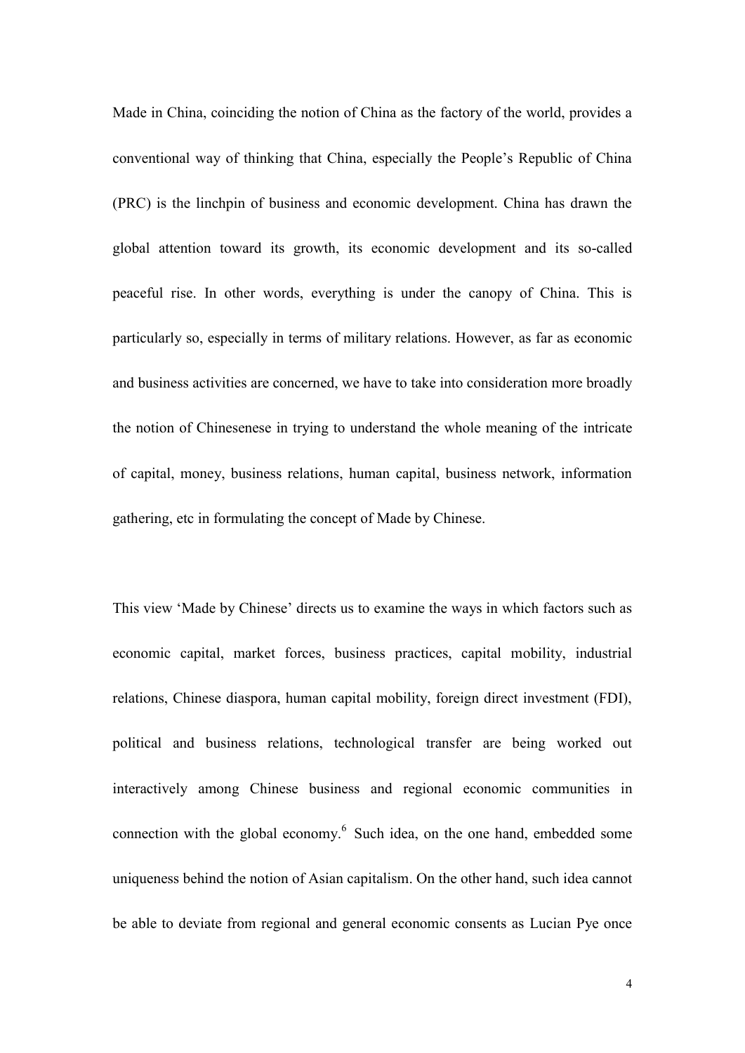Made in China, coinciding the notion of China as the factory of the world, provides a conventional way of thinking that China, especially the People"s Republic of China (PRC) is the linchpin of business and economic development. China has drawn the global attention toward its growth, its economic development and its so-called peaceful rise. In other words, everything is under the canopy of China. This is particularly so, especially in terms of military relations. However, as far as economic and business activities are concerned, we have to take into consideration more broadly the notion of Chinesenese in trying to understand the whole meaning of the intricate of capital, money, business relations, human capital, business network, information gathering, etc in formulating the concept of Made by Chinese.

This view "Made by Chinese" directs us to examine the ways in which factors such as economic capital, market forces, business practices, capital mobility, industrial relations, Chinese diaspora, human capital mobility, foreign direct investment (FDI), political and business relations, technological transfer are being worked out interactively among Chinese business and regional economic communities in connection with the global economy. 6 Such idea, on the one hand, embedded some uniqueness behind the notion of Asian capitalism. On the other hand, such idea cannot be able to deviate from regional and general economic consents as Lucian Pye once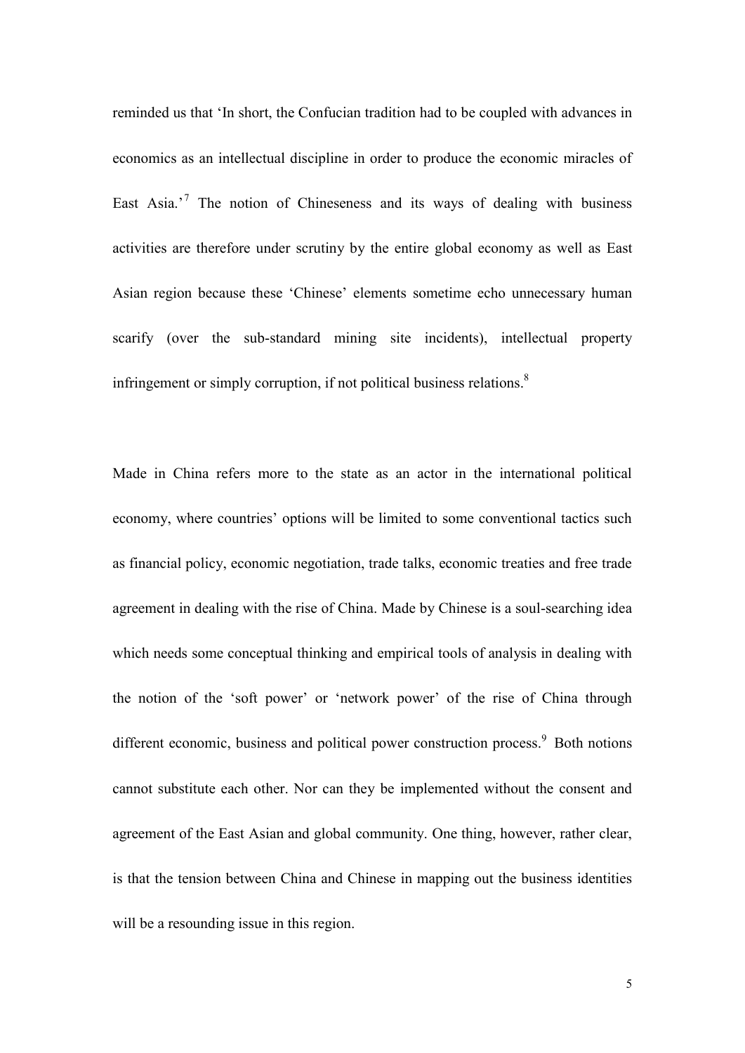reminded us that "In short, the Confucian tradition had to be coupled with advances in economics as an intellectual discipline in order to produce the economic miracles of East Asia.<sup> $7$ </sup> The notion of Chineseness and its ways of dealing with business activities are therefore under scrutiny by the entire global economy as well as East Asian region because these "Chinese" elements sometime echo unnecessary human scarify (over the sub-standard mining site incidents), intellectual property infringement or simply corruption, if not political business relations.<sup>8</sup>

Made in China refers more to the state as an actor in the international political economy, where countries" options will be limited to some conventional tactics such as financial policy, economic negotiation, trade talks, economic treaties and free trade agreement in dealing with the rise of China. Made by Chinese is a soul-searching idea which needs some conceptual thinking and empirical tools of analysis in dealing with the notion of the "soft power" or "network power" of the rise of China through different economic, business and political power construction process.<sup>9</sup> Both notions cannot substitute each other. Nor can they be implemented without the consent and agreement of the East Asian and global community. One thing, however, rather clear, is that the tension between China and Chinese in mapping out the business identities will be a resounding issue in this region.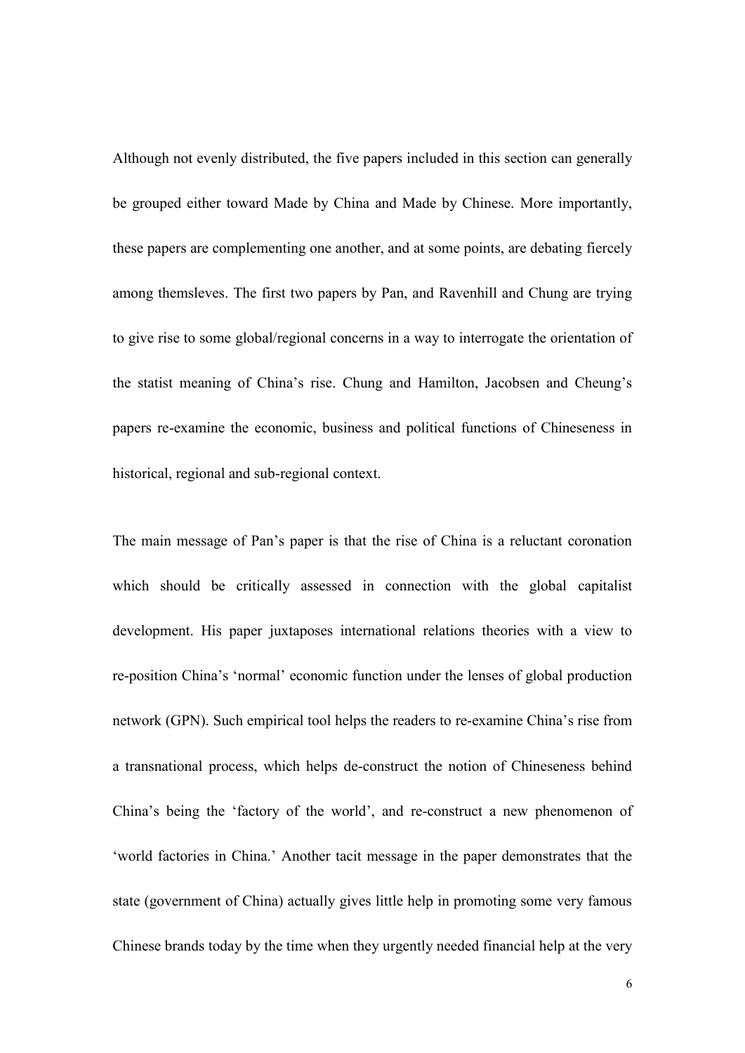Although not evenly distributed, the five papers included in this section can generally be grouped either toward Made by China and Made by Chinese. More importantly, these papers are complementing one another, and at some points, are debating fiercely among themsleves. The first two papers by Pan, and Ravenhill and Chung are trying to give rise to some global/regional concerns in a way to interrogate the orientation of the statist meaning of China"s rise. Chung and Hamilton, Jacobsen and Cheung"s papers re-examine the economic, business and political functions of Chineseness in historical, regional and sub-regional context.

The main message of Pan"s paper is that the rise of China is a reluctant coronation which should be critically assessed in connection with the global capitalist development. His paper juxtaposes international relations theories with a view to re-position China"s "normal" economic function under the lenses of global production network (GPN). Such empirical tool helps the readers to re-examine China"s rise from a transnational process, which helps de-construct the notion of Chineseness behind China"s being the "factory of the world", and re-construct a new phenomenon of "world factories in China." Another tacit message in the paper demonstrates that the state (government of China) actually gives little help in promoting some very famous Chinese brands today by the time when they urgently needed financial help at the very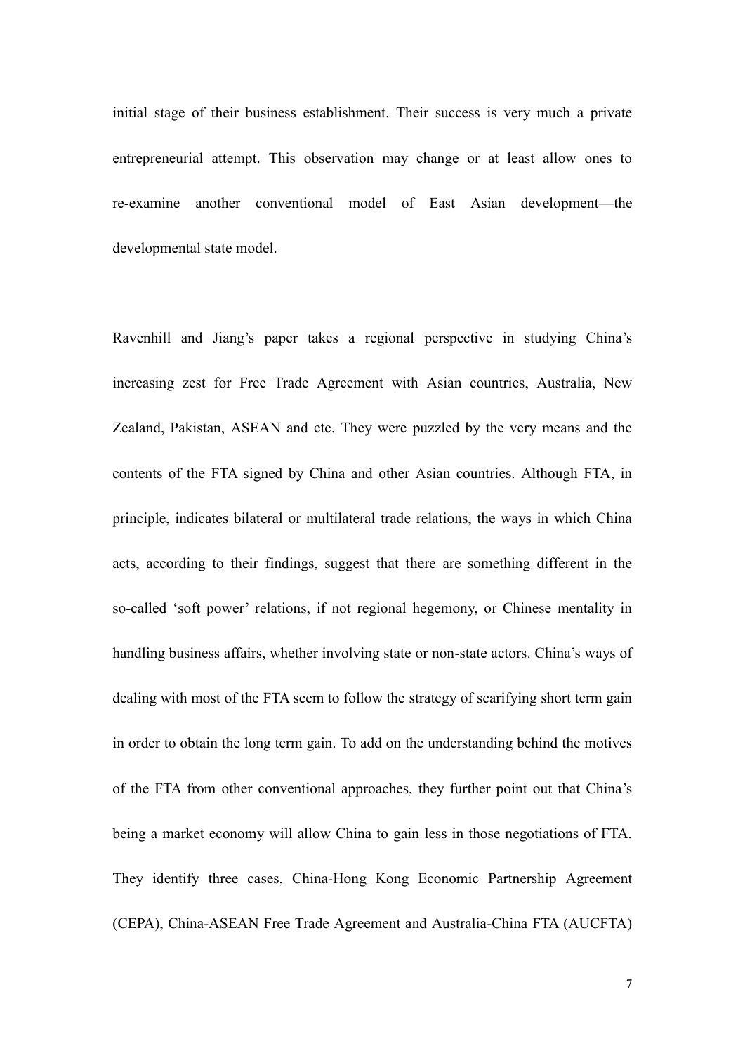initial stage of their business establishment. Their success is very much a private entrepreneurial attempt. This observation may change or at least allow ones to re-examine another conventional model of East Asian development—the developmental state model.

Ravenhill and Jiang's paper takes a regional perspective in studying China's increasing zest for Free Trade Agreement with Asian countries, Australia, New Zealand, Pakistan, ASEAN and etc. They were puzzled by the very means and the contents of the FTA signed by China and other Asian countries. Although FTA, in principle, indicates bilateral or multilateral trade relations, the ways in which China acts, according to their findings, suggest that there are something different in the so-called 'soft power' relations, if not regional hegemony, or Chinese mentality in handling business affairs, whether involving state or non-state actors. China"s ways of dealing with most of the FTA seem to follow the strategy of scarifying short term gain in order to obtain the long term gain. To add on the understanding behind the motives of the FTA from other conventional approaches, they further point out that China"s being a market economy will allow China to gain less in those negotiations of FTA. They identify three cases, China-Hong Kong Economic Partnership Agreement (CEPA), China-ASEAN Free Trade Agreement and Australia-China FTA (AUCFTA)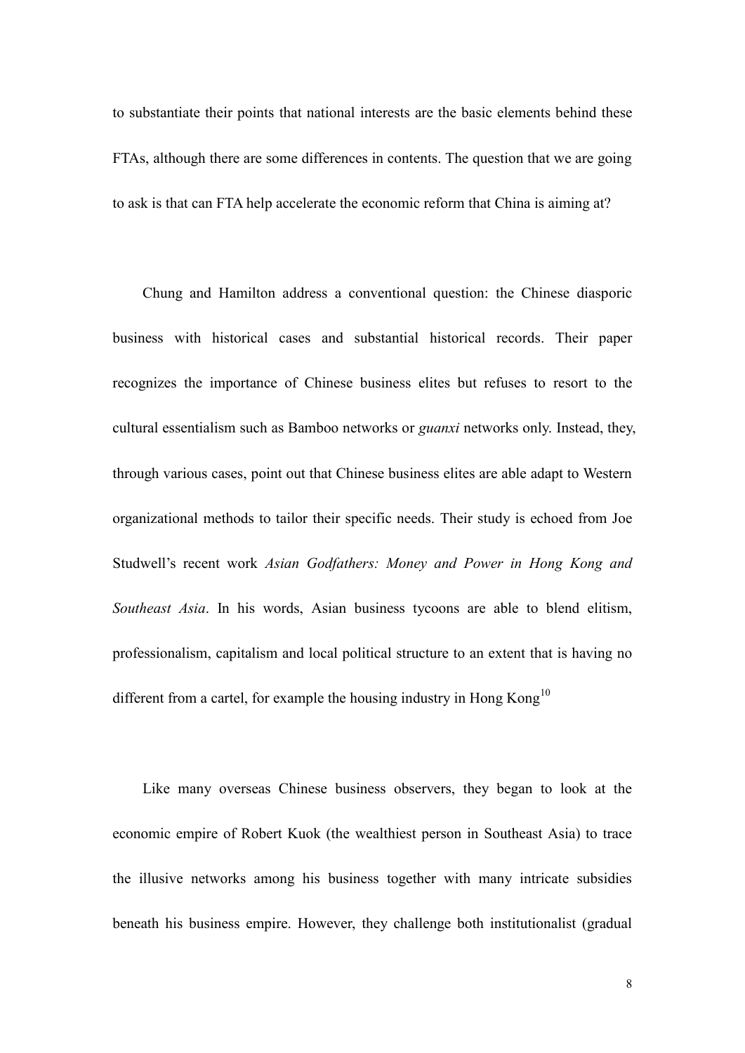to substantiate their points that national interests are the basic elements behind these FTAs, although there are some differences in contents. The question that we are going to ask is that can FTA help accelerate the economic reform that China is aiming at?

Chung and Hamilton address a conventional question: the Chinese diasporic business with historical cases and substantial historical records. Their paper recognizes the importance of Chinese business elites but refuses to resort to the cultural essentialism such as Bamboo networks or *guanxi* networks only. Instead, they, through various cases, point out that Chinese business elites are able adapt to Western organizational methods to tailor their specific needs. Their study is echoed from Joe Studwell"s recent work *Asian Godfathers: Money and Power in Hong Kong and Southeast Asia*. In his words, Asian business tycoons are able to blend elitism, professionalism, capitalism and local political structure to an extent that is having no different from a cartel, for example the housing industry in Hong Kong<sup>10</sup>

Like many overseas Chinese business observers, they began to look at the economic empire of Robert Kuok (the wealthiest person in Southeast Asia) to trace the illusive networks among his business together with many intricate subsidies beneath his business empire. However, they challenge both institutionalist (gradual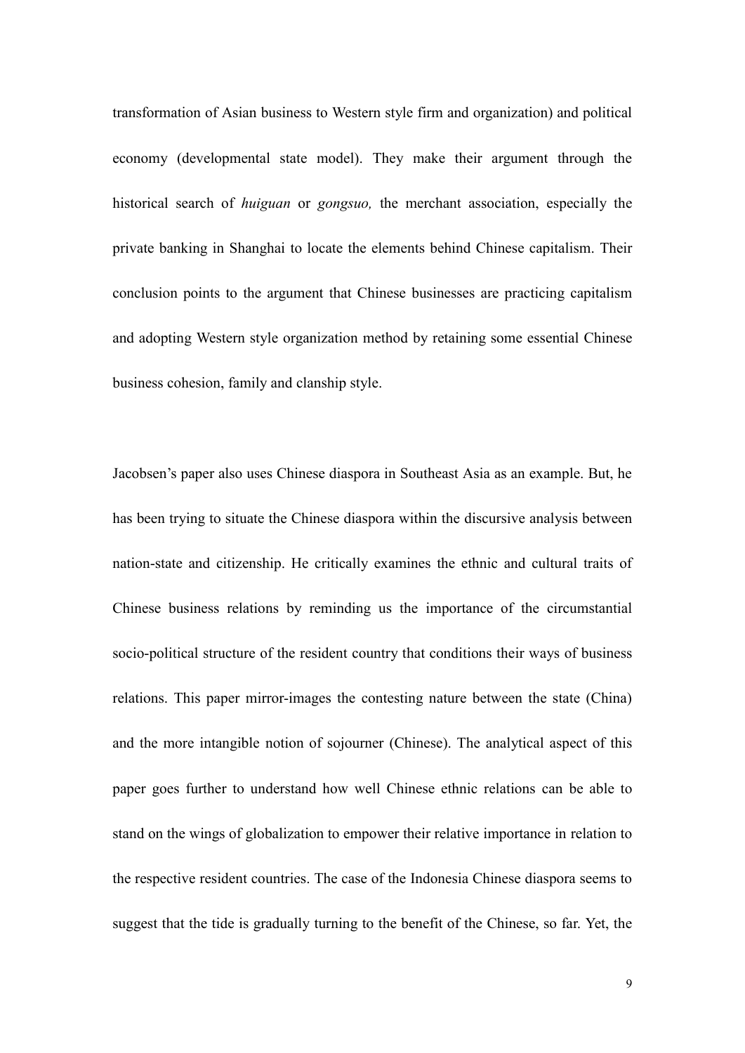transformation of Asian business to Western style firm and organization) and political economy (developmental state model). They make their argument through the historical search of *huiguan* or *gongsuo,* the merchant association, especially the private banking in Shanghai to locate the elements behind Chinese capitalism. Their conclusion points to the argument that Chinese businesses are practicing capitalism and adopting Western style organization method by retaining some essential Chinese business cohesion, family and clanship style.

Jacobsen"s paper also uses Chinese diaspora in Southeast Asia as an example. But, he has been trying to situate the Chinese diaspora within the discursive analysis between nation-state and citizenship. He critically examines the ethnic and cultural traits of Chinese business relations by reminding us the importance of the circumstantial socio-political structure of the resident country that conditions their ways of business relations. This paper mirror-images the contesting nature between the state (China) and the more intangible notion of sojourner (Chinese). The analytical aspect of this paper goes further to understand how well Chinese ethnic relations can be able to stand on the wings of globalization to empower their relative importance in relation to the respective resident countries. The case of the Indonesia Chinese diaspora seems to suggest that the tide is gradually turning to the benefit of the Chinese, so far. Yet, the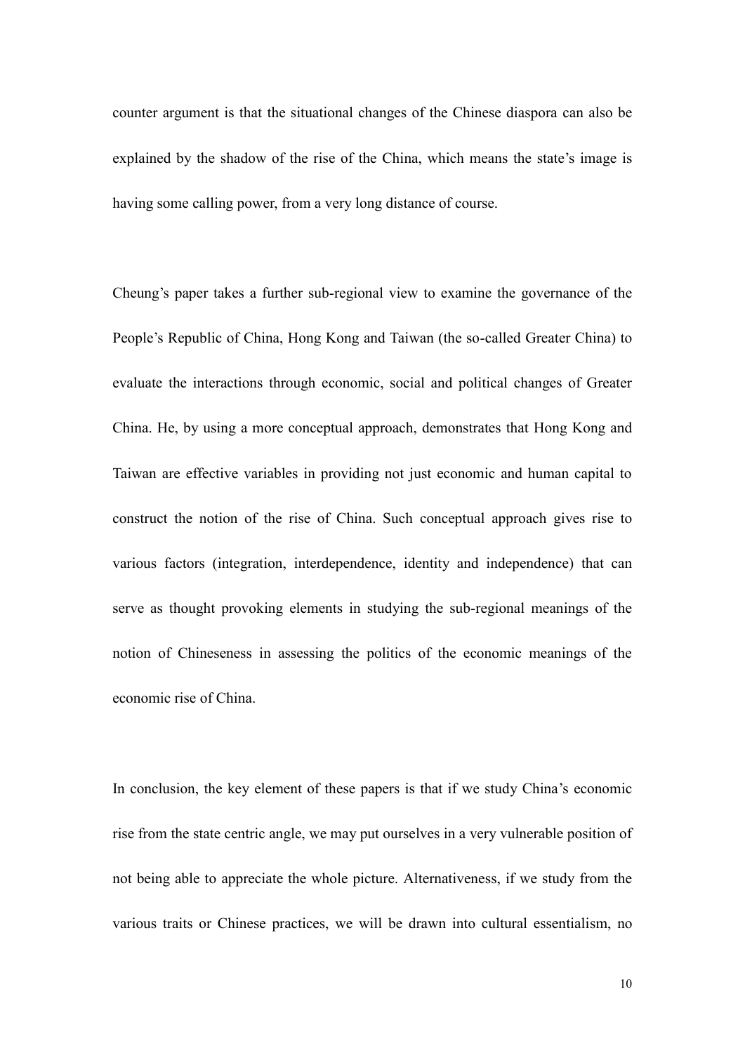counter argument is that the situational changes of the Chinese diaspora can also be explained by the shadow of the rise of the China, which means the state's image is having some calling power, from a very long distance of course.

Cheung"s paper takes a further sub-regional view to examine the governance of the People"s Republic of China, Hong Kong and Taiwan (the so-called Greater China) to evaluate the interactions through economic, social and political changes of Greater China. He, by using a more conceptual approach, demonstrates that Hong Kong and Taiwan are effective variables in providing not just economic and human capital to construct the notion of the rise of China. Such conceptual approach gives rise to various factors (integration, interdependence, identity and independence) that can serve as thought provoking elements in studying the sub-regional meanings of the notion of Chineseness in assessing the politics of the economic meanings of the economic rise of China.

In conclusion, the key element of these papers is that if we study China"s economic rise from the state centric angle, we may put ourselves in a very vulnerable position of not being able to appreciate the whole picture. Alternativeness, if we study from the various traits or Chinese practices, we will be drawn into cultural essentialism, no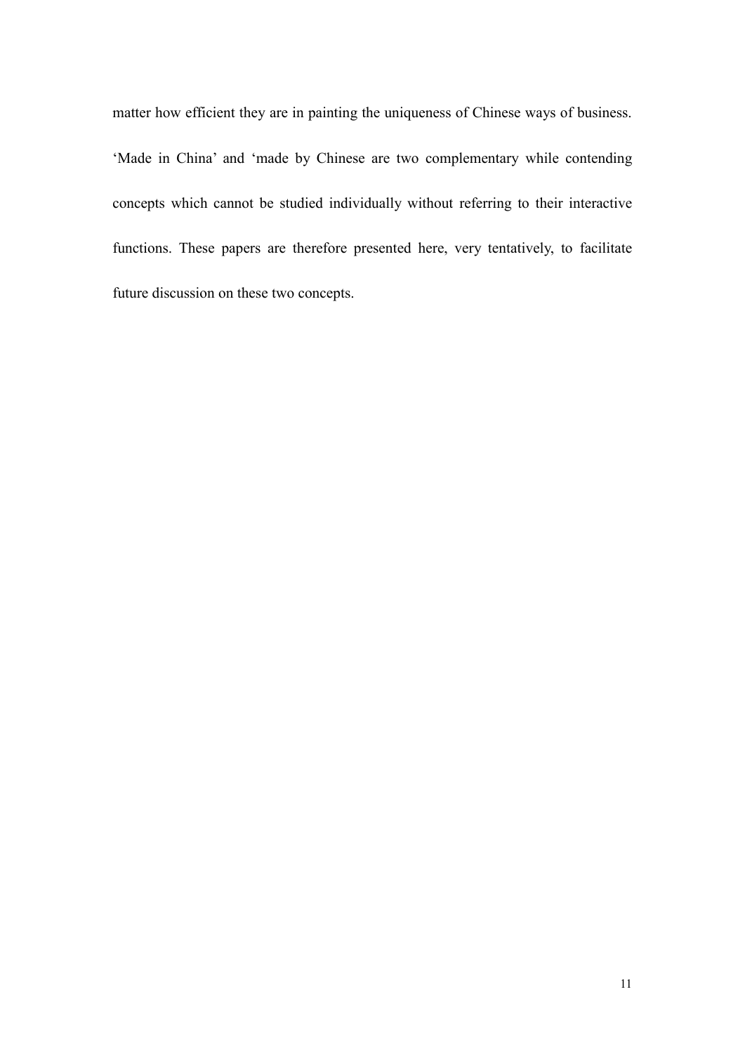matter how efficient they are in painting the uniqueness of Chinese ways of business. 'Made in China' and 'made by Chinese are two complementary while contending concepts which cannot be studied individually without referring to their interactive functions. These papers are therefore presented here, very tentatively, to facilitate future discussion on these two concepts.